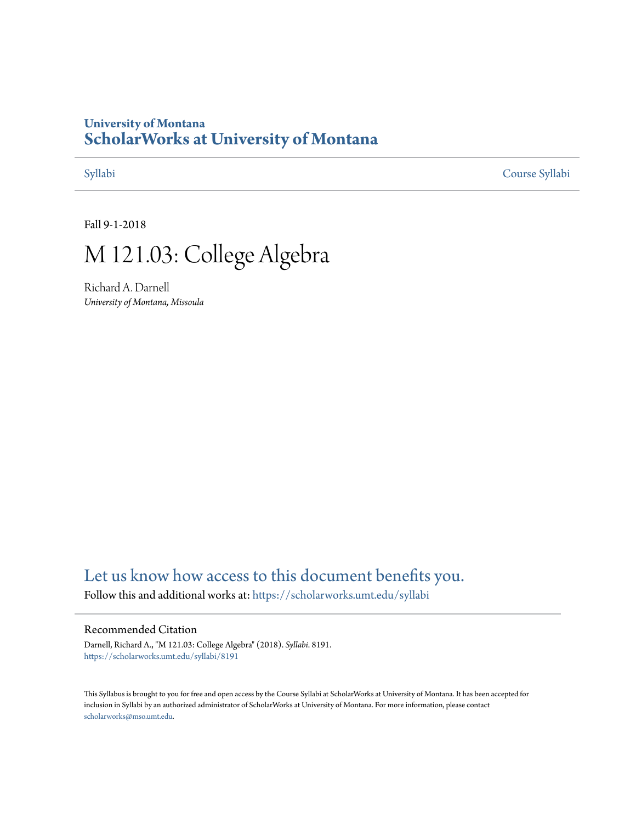# **University of Montana [ScholarWorks at University of Montana](https://scholarworks.umt.edu?utm_source=scholarworks.umt.edu%2Fsyllabi%2F8191&utm_medium=PDF&utm_campaign=PDFCoverPages)**

[Syllabi](https://scholarworks.umt.edu/syllabi?utm_source=scholarworks.umt.edu%2Fsyllabi%2F8191&utm_medium=PDF&utm_campaign=PDFCoverPages) [Course Syllabi](https://scholarworks.umt.edu/course_syllabi?utm_source=scholarworks.umt.edu%2Fsyllabi%2F8191&utm_medium=PDF&utm_campaign=PDFCoverPages)

Fall 9-1-2018

# M 121.03: College Algebra

Richard A. Darnell *University of Montana, Missoula*

# [Let us know how access to this document benefits you.](https://goo.gl/forms/s2rGfXOLzz71qgsB2)

Follow this and additional works at: [https://scholarworks.umt.edu/syllabi](https://scholarworks.umt.edu/syllabi?utm_source=scholarworks.umt.edu%2Fsyllabi%2F8191&utm_medium=PDF&utm_campaign=PDFCoverPages)

#### Recommended Citation

Darnell, Richard A., "M 121.03: College Algebra" (2018). *Syllabi*. 8191. [https://scholarworks.umt.edu/syllabi/8191](https://scholarworks.umt.edu/syllabi/8191?utm_source=scholarworks.umt.edu%2Fsyllabi%2F8191&utm_medium=PDF&utm_campaign=PDFCoverPages)

This Syllabus is brought to you for free and open access by the Course Syllabi at ScholarWorks at University of Montana. It has been accepted for inclusion in Syllabi by an authorized administrator of ScholarWorks at University of Montana. For more information, please contact [scholarworks@mso.umt.edu](mailto:scholarworks@mso.umt.edu).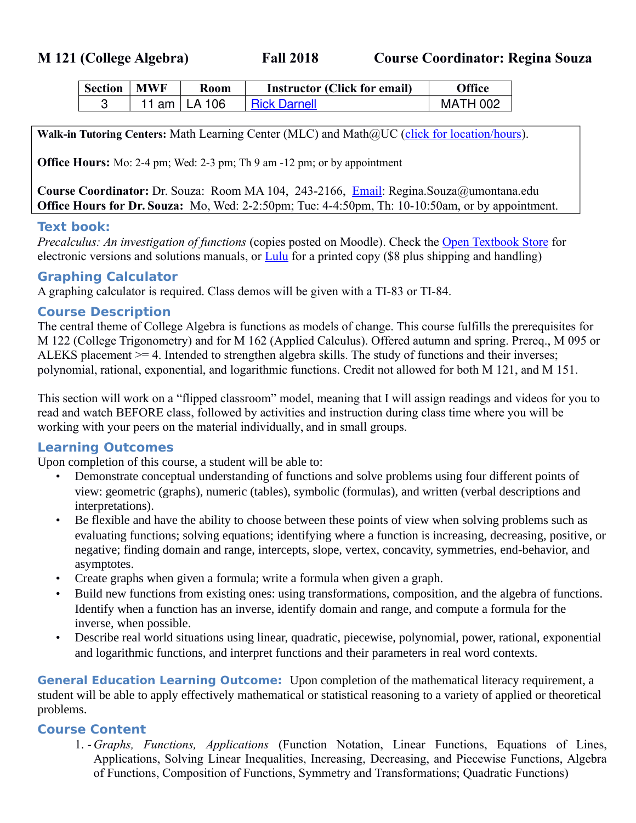| <b>Section   MWF</b> | <b>Room</b>    | <b>Instructor (Click for email)</b> | <b>Office</b>   |
|----------------------|----------------|-------------------------------------|-----------------|
|                      | 11 am   LA 106 | <b>Rick Darnell</b>                 | <b>MATH 002</b> |

Walk-in Tutoring Centers: Math Learning Center (MLC) and Math@UC [\(click for location/hours\)](http://cas.umt.edu/math/undergraduate/all-students/free-tutoring.php).

**Office Hours:** Mo: 2-4 pm; Wed: 2-3 pm; Th 9 am -12 pm; or by appointment

**Course Coordinator:** Dr. Souza: Room MA 104, 243-2166, [Email:](mailto:%20Regina.Souza@umontana.edu) Regina.Souza@umontana.edu **Office Hours for Dr. Souza:** Mo, Wed: 2-2:50pm; Tue: 4-4:50pm, Th: 10-10:50am, or by appointment.

#### **Text book:**

*Precalculus: An investigation of functions (copies posted on Moodle). Check the [Open Textbook Store](http://www.opentextbookstore.com/precalc/) for* electronic versions and solutions manuals, or  $Lulu$  for a printed copy (\$8 plus shipping and handling)

#### **Graphing Calculator**

A graphing calculator is required. Class demos will be given with a TI-83 or TI-84.

#### **Course Description**

The central theme of College Algebra is functions as models of change. This course fulfills the prerequisites for M 122 (College Trigonometry) and for M 162 (Applied Calculus). Offered autumn and spring. Prereq., M 095 or ALEKS placement >= 4. Intended to strengthen algebra skills. The study of functions and their inverses; polynomial, rational, exponential, and logarithmic functions. Credit not allowed for both M 121, and M 151.

This section will work on a "flipped classroom" model, meaning that I will assign readings and videos for you to read and watch BEFORE class, followed by activities and instruction during class time where you will be working with your peers on the material individually, and in small groups.

#### **Learning Outcomes**

Upon completion of this course, a student will be able to:

- Demonstrate conceptual understanding of functions and solve problems using four different points of view: geometric (graphs), numeric (tables), symbolic (formulas), and written (verbal descriptions and interpretations).
- Be flexible and have the ability to choose between these points of view when solving problems such as evaluating functions; solving equations; identifying where a function is increasing, decreasing, positive, or negative; finding domain and range, intercepts, slope, vertex, concavity, symmetries, end-behavior, and asymptotes.
- Create graphs when given a formula; write a formula when given a graph.
- Build new functions from existing ones: using transformations, composition, and the algebra of functions. Identify when a function has an inverse, identify domain and range, and compute a formula for the inverse, when possible.
- Describe real world situations using linear, quadratic, piecewise, polynomial, power, rational, exponential and logarithmic functions, and interpret functions and their parameters in real word contexts.

**General Education Learning Outcome:** Upon completion of the mathematical literacy requirement, a student will be able to apply effectively mathematical or statistical reasoning to a variety of applied or theoretical problems.

### **Course Content**

1. *- Graphs, Functions, Applications* (Function Notation, Linear Functions, Equations of Lines, Applications, Solving Linear Inequalities, Increasing, Decreasing, and Piecewise Functions, Algebra of Functions, Composition of Functions, Symmetry and Transformations; Quadratic Functions)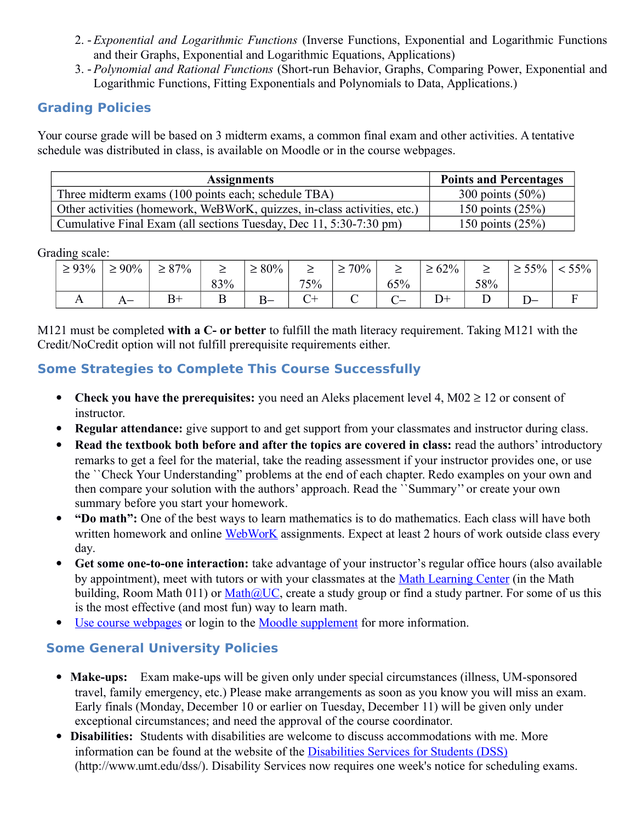- 2.  *Exponential and Logarithmic Functions* (Inverse Functions, Exponential and Logarithmic Functions and their Graphs, Exponential and Logarithmic Equations, Applications)
- 3. Polynomial and Rational Functions (Short-run Behavior, Graphs, Comparing Power, Exponential and Logarithmic Functions, Fitting Exponentials and Polynomials to Data, Applications.)

## **Grading Policies**

 Your course grade will be based on 3 midterm exams, a common final exam and other activities. A tentative schedule was distributed in class, is available on Moodle or in the course webpages.

| <b>Assignments</b>                                                       | <b>Points and Percentages</b> |  |  |  |
|--------------------------------------------------------------------------|-------------------------------|--|--|--|
| Three midterm exams (100 points each; schedule TBA)                      | 300 points $(50\%)$           |  |  |  |
| Other activities (homework, WeBWorK, quizzes, in-class activities, etc.) | 150 points $(25%)$            |  |  |  |
| Cumulative Final Exam (all sections Tuesday, Dec 11, 5:30-7:30 pm)       | 150 points $(25%)$            |  |  |  |

Grading scale:

| $\geq 93\%$ | $\geq 90\%$<br>$\leq$ .  | $87\%$<br>$\leq$ 0 / | –   | $80\%$<br>$\epsilon$ | _   | $70\%$ .<br>$\leq$ | _   | 62%<br>$\leq$ | _   | 55%<br>⋍ | $<$ 55% $\mid$ |
|-------------|--------------------------|----------------------|-----|----------------------|-----|--------------------|-----|---------------|-----|----------|----------------|
|             |                          |                      | 83% |                      | 75% |                    | 65% |               | 58% |          |                |
| ∡ ⊾         | $\overline{\phantom{0}}$ | $\mathbf{Q}_{+}$     | ∸   | $B -$                |     |                    |     | $D+$          |     | --       |                |

M121 must be completed **with a C- or better** to fulfill the math literacy requirement. Taking M121 with the Credit/NoCredit option will not fulfill prerequisite requirements either.

# **Some Strategies to Complete This Course Successfully**

- Check you have the prerequisites: you need an Aleks placement level 4,  $M02 \ge 12$  or consent of instructor.
- **Regular attendance:** give support to and get support from your classmates and instructor during class.
- **Read the textbook both before and after the topics are covered in class:** read the authors' introductory remarks to get a feel for the material, take the reading assessment if your instructor provides one, or use the ``Check Your Understanding" problems at the end of each chapter. Redo examples on your own and then compare your solution with the authors' approach. Read the ``Summary'' or create your own summary before you start your homework.
- **"Do math":** One of the best ways to learn mathematics is to do mathematics. Each class will have both written homework and online [WebWorK](https://lennes.math.umt.edu/webwork2/121-CollegeAlgebra/) assignments. Expect at least 2 hours of work outside class every day.
- **Get some one-to-one interaction:** take advantage of your instructor's regular office hours (also available by appointment), meet with tutors or with your classmates at the [Math Learning Center](http://cas.umt.edu/math/undergraduate/all-students/free-tutoring.php) (in the Math building, Room Math 011) or  $\text{Math@UC}$ , create a study group or find a study partner. For some of us this is the most effective (and most fun) way to learn math.
- [Use course webpages](http://cas.umt.edu/math/courses/with-webpages/M121.php) or login to the [Moodle supplement](https://umonline.umt.edu/) for more information.

# **Some General University Policies**

- travel, family emergency, etc.) Please make arrangements as soon as you know you will miss an exam. • Make-ups: Exam make-ups will be given only under special circumstances (illness, UM-sponsored Early finals (Monday, December 10 or earlier on Tuesday, December 11) will be given only under exceptional circumstances; and need the approval of the course coordinator.
- **Disabilities:** Students with disabilities are welcome to discuss accommodations with me. More information can be found at the website of the [Disabilities Services for Students \(DSS\)](http://www.umt.edu/dss/)  (http://www.umt.edu/dss/). Disability Services now requires one week's notice for scheduling exams.